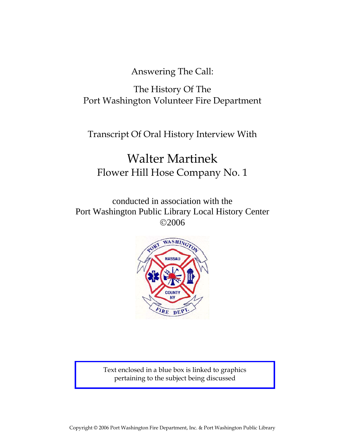Answering The Call:

# The History Of The Port Washington Volunteer Fire Department

Transcript Of Oral History Interview With

# Walter Martinek Flower Hill Hose Company No. 1

conducted in association with the Port Washington Public Library Local History Center ©2006



Text enclosed in a blue box is linked to graphics pertaining to the subject being discussed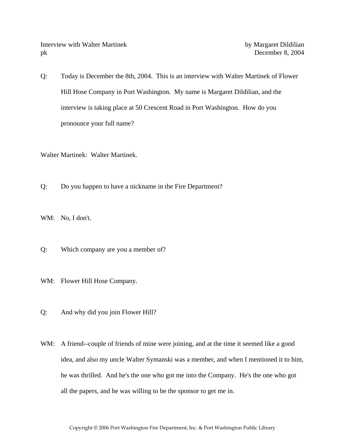Interview with Walter Martinek by Margaret Dildilian pk December 8, 2004

Q: Today is December the 8th, 2004. This is an interview with Walter Martinek of Flower Hill Hose Company in Port Washington. My name is Margaret Dildilian, and the interview is taking place at 50 Crescent Road in Port Washington. How do you pronounce your full name?

Walter Martinek: Walter Martinek.

Q: Do you happen to have a nickname in the Fire Department?

WM: No, I don't.

Q: Which company are you a member of?

WM: Flower Hill Hose Company.

- Q: And why did you join Flower Hill?
- WM: A friend--couple of friends of mine were joining, and at the time it seemed like a good idea, and also my uncle Walter Symanski was a member, and when I mentioned it to him, he was thrilled. And he's the one who got me into the Company. He's the one who got all the papers, and he was willing to be the sponsor to get me in.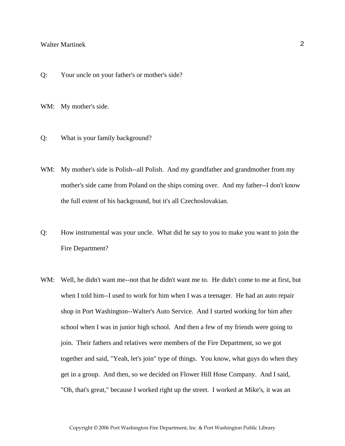- Q: Your uncle on your father's or mother's side?
- WM: My mother's side.
- Q: What is your family background?
- WM: My mother's side is Polish--all Polish. And my grandfather and grandmother from my mother's side came from Poland on the ships coming over. And my father--I don't know the full extent of his background, but it's all Czechoslovakian.
- Q: How instrumental was your uncle. What did he say to you to make you want to join the Fire Department?
- WM: Well, he didn't want me--not that he didn't want me to. He didn't come to me at first, but when I told him--I used to work for him when I was a teenager. He had an auto repair shop in Port Washington--Walter's Auto Service. And I started working for him after school when I was in junior high school. And then a few of my friends were going to join. Their fathers and relatives were members of the Fire Department, so we got together and said, "Yeah, let's join" type of things. You know, what guys do when they get in a group. And then, so we decided on Flower Hill Hose Company. And I said, "Oh, that's great," because I worked right up the street. I worked at Mike's, it was an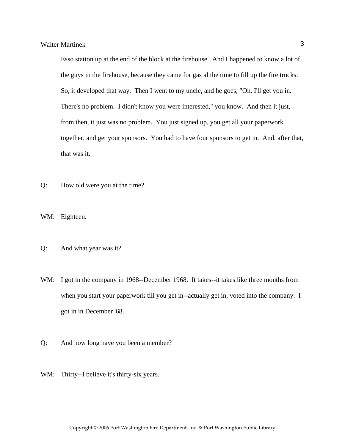Esso station up at the end of the block at the firehouse. And I happened to know a lot of the guys in the firehouse, because they came for gas al the time to fill up the fire trucks. So, it developed that way. Then I went to my uncle, and he goes, "Oh, I'll get you in. There's no problem. I didn't know you were interested," you know. And then it just, from then, it just was no problem. You just signed up, you get all your paperwork together, and get your sponsors. You had to have four sponsors to get in. And, after that, that was it.

Q: How old were you at the time?

WM: Eighteen.

- Q: And what year was it?
- WM: I got in the company in 1968--December 1968. It takes--it takes like three months from when you start your paperwork till you get in--actually get in, voted into the company. I got in in December '68.
- Q: And how long have you been a member?
- WM: Thirty--I believe it's thirty-six years.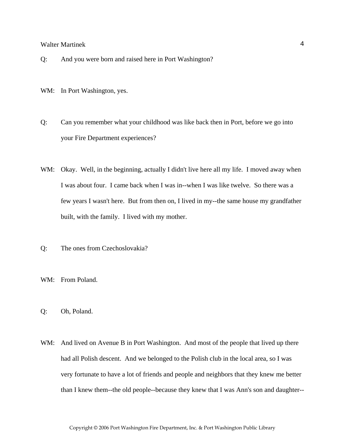- Q: And you were born and raised here in Port Washington?
- WM: In Port Washington, yes.
- Q: Can you remember what your childhood was like back then in Port, before we go into your Fire Department experiences?
- WM: Okay. Well, in the beginning, actually I didn't live here all my life. I moved away when I was about four. I came back when I was in--when I was like twelve. So there was a few years I wasn't here. But from then on, I lived in my--the same house my grandfather built, with the family. I lived with my mother.
- Q: The ones from Czechoslovakia?
- WM: From Poland.
- Q: Oh, Poland.
- WM: And lived on Avenue B in Port Washington. And most of the people that lived up there had all Polish descent. And we belonged to the Polish club in the local area, so I was very fortunate to have a lot of friends and people and neighbors that they knew me better than I knew them--the old people--because they knew that I was Ann's son and daughter--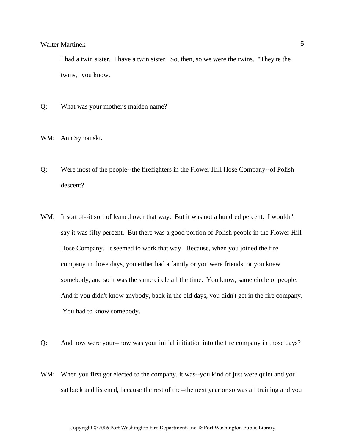I had a twin sister. I have a twin sister. So, then, so we were the twins. "They're the twins," you know.

Q: What was your mother's maiden name?

WM: Ann Symanski.

- Q: Were most of the people--the firefighters in the Flower Hill Hose Company--of Polish descent?
- WM: It sort of--it sort of leaned over that way. But it was not a hundred percent. I wouldn't say it was fifty percent. But there was a good portion of Polish people in the Flower Hill Hose Company. It seemed to work that way. Because, when you joined the fire company in those days, you either had a family or you were friends, or you knew somebody, and so it was the same circle all the time. You know, same circle of people. And if you didn't know anybody, back in the old days, you didn't get in the fire company. You had to know somebody.
- Q: And how were your--how was your initial initiation into the fire company in those days?
- WM: When you first got elected to the company, it was--you kind of just were quiet and you sat back and listened, because the rest of the--the next year or so was all training and you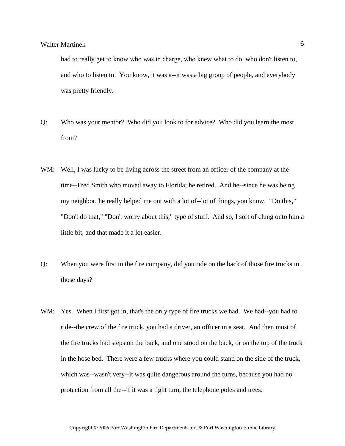had to really get to know who was in charge, who knew what to do, who don't listen to, and who to listen to. You know, it was a--it was a big group of people, and everybody was pretty friendly.

- Q: Who was your mentor? Who did you look to for advice? Who did you learn the most from?
- WM: Well, I was lucky to be living across the street from an officer of the company at the time--Fred Smith who moved away to Florida; he retired. And he--since he was being my neighbor, he really helped me out with a lot of--lot of things, you know. "Do this," "Don't do that," "Don't worry about this," type of stuff. And so, I sort of clung onto him a little bit, and that made it a lot easier.
- Q: When you were first in the fire company, did you ride on the back of those fire trucks in those days?
- WM: Yes. When I first got in, that's the only type of fire trucks we had. We had--you had to ride--the crew of the fire truck, you had a driver, an officer in a seat. And then most of the fire trucks had steps on the back, and one stood on the back, or on the top of the truck in the hose bed. There were a few trucks where you could stand on the side of the truck, which was--wasn't very--it was quite dangerous around the turns, because you had no protection from all the--if it was a tight turn, the telephone poles and trees.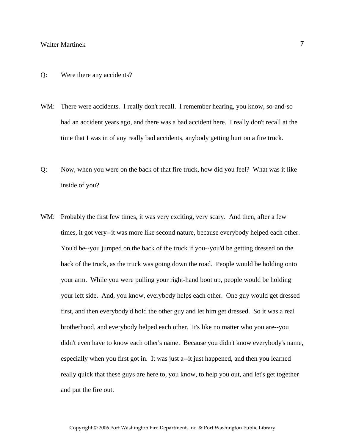## Q: Were there any accidents?

- WM: There were accidents. I really don't recall. I remember hearing, you know, so-and-so had an accident years ago, and there was a bad accident here. I really don't recall at the time that I was in of any really bad accidents, anybody getting hurt on a fire truck.
- Q: Now, when you were on the back of that fire truck, how did you feel? What was it like inside of you?
- WM: Probably the first few times, it was very exciting, very scary. And then, after a few times, it got very--it was more like second nature, because everybody helped each other. You'd be--you jumped on the back of the truck if you--you'd be getting dressed on the back of the truck, as the truck was going down the road. People would be holding onto your arm. While you were pulling your right-hand boot up, people would be holding your left side. And, you know, everybody helps each other. One guy would get dressed first, and then everybody'd hold the other guy and let him get dressed. So it was a real brotherhood, and everybody helped each other. It's like no matter who you are--you didn't even have to know each other's name. Because you didn't know everybody's name, especially when you first got in. It was just a--it just happened, and then you learned really quick that these guys are here to, you know, to help you out, and let's get together and put the fire out.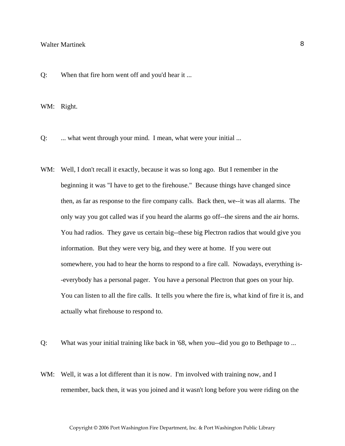Q: When that fire horn went off and you'd hear it ...

WM: Right.

Q: ... what went through your mind. I mean, what were your initial ...

- WM: Well, I don't recall it exactly, because it was so long ago. But I remember in the beginning it was "I have to get to the firehouse." Because things have changed since then, as far as response to the fire company calls. Back then, we--it was all alarms. The only way you got called was if you heard the alarms go off--the sirens and the air horns. You had radios. They gave us certain big--these big Plectron radios that would give you information. But they were very big, and they were at home. If you were out somewhere, you had to hear the horns to respond to a fire call. Nowadays, everything is- -everybody has a personal pager. You have a personal Plectron that goes on your hip. You can listen to all the fire calls. It tells you where the fire is, what kind of fire it is, and actually what firehouse to respond to.
- Q: What was your initial training like back in '68, when you--did you go to Bethpage to ...
- WM: Well, it was a lot different than it is now. I'm involved with training now, and I remember, back then, it was you joined and it wasn't long before you were riding on the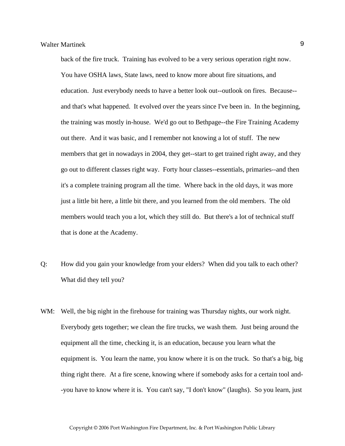back of the fire truck. Training has evolved to be a very serious operation right now. You have OSHA laws, State laws, need to know more about fire situations, and education. Just everybody needs to have a better look out--outlook on fires. Because- and that's what happened. It evolved over the years since I've been in. In the beginning, the training was mostly in-house. We'd go out to Bethpage--the Fire Training Academy out there. And it was basic, and I remember not knowing a lot of stuff. The new members that get in nowadays in 2004, they get--start to get trained right away, and they go out to different classes right way. Forty hour classes--essentials, primaries--and then it's a complete training program all the time. Where back in the old days, it was more just a little bit here, a little bit there, and you learned from the old members. The old members would teach you a lot, which they still do. But there's a lot of technical stuff that is done at the Academy.

- Q: How did you gain your knowledge from your elders? When did you talk to each other? What did they tell you?
- WM: Well, the big night in the firehouse for training was Thursday nights, our work night. Everybody gets together; we clean the fire trucks, we wash them. Just being around the equipment all the time, checking it, is an education, because you learn what the equipment is. You learn the name, you know where it is on the truck. So that's a big, big thing right there. At a fire scene, knowing where if somebody asks for a certain tool and- -you have to know where it is. You can't say, "I don't know" (laughs). So you learn, just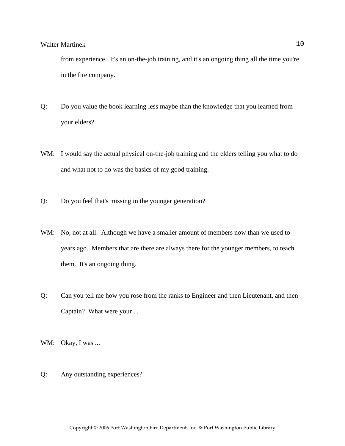from experience. It's an on-the-job training, and it's an ongoing thing all the time you're in the fire company.

- Q: Do you value the book learning less maybe than the knowledge that you learned from your elders?
- WM: I would say the actual physical on-the-job training and the elders telling you what to do and what not to do was the basics of my good training.
- Q: Do you feel that's missing in the younger generation?
- WM: No, not at all. Although we have a smaller amount of members now than we used to years ago. Members that are there are always there for the younger members, to teach them. It's an ongoing thing.
- Q: Can you tell me how you rose from the ranks to Engineer and then Lieutenant, and then Captain? What were your ...
- WM: Okay, I was ...
- Q: Any outstanding experiences?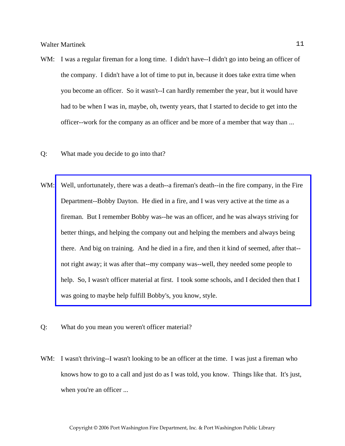- WM: I was a regular fireman for a long time. I didn't have--I didn't go into being an officer of the company. I didn't have a lot of time to put in, because it does take extra time when you become an officer. So it wasn't--I can hardly remember the year, but it would have had to be when I was in, maybe, oh, twenty years, that I started to decide to get into the officer--work for the company as an officer and be more of a member that way than ...
- Q: What made you decide to go into that?
- WM: Well, unfortunately, there was a death--a fireman's death--in the fire company, in the Fire Department--Bobby Dayton. He died in a fire, and I was very active at the time as a fireman. But I remember Bobby was--he was an officer, and he was always striving for better things, and helping the company out and helping the members and always being there. And big on training. And he died in a fire, and then it kind of seemed, after that- not right away; it was after that--my company was--well, they needed some people to help. So, I wasn't officer material at first. I took some schools, and I decided then that I was going to maybe help fulfill Bobby's, you know, style.
- Q: What do you mean you weren't officer material?
- WM: I wasn't thriving--I wasn't looking to be an officer at the time. I was just a fireman who knows how to go to a call and just do as I was told, you know. Things like that. It's just, when you're an officer ...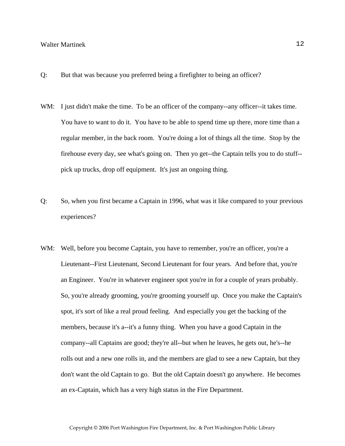- Q: But that was because you preferred being a firefighter to being an officer?
- WM: I just didn't make the time. To be an officer of the company--any officer--it takes time. You have to want to do it. You have to be able to spend time up there, more time than a regular member, in the back room. You're doing a lot of things all the time. Stop by the firehouse every day, see what's going on. Then yo get--the Captain tells you to do stuff- pick up trucks, drop off equipment. It's just an ongoing thing.
- Q: So, when you first became a Captain in 1996, what was it like compared to your previous experiences?
- WM: Well, before you become Captain, you have to remember, you're an officer, you're a Lieutenant--First Lieutenant, Second Lieutenant for four years. And before that, you're an Engineer. You're in whatever engineer spot you're in for a couple of years probably. So, you're already grooming, you're grooming yourself up. Once you make the Captain's spot, it's sort of like a real proud feeling. And especially you get the backing of the members, because it's a--it's a funny thing. When you have a good Captain in the company--all Captains are good; they're all--but when he leaves, he gets out, he's--he rolls out and a new one rolls in, and the members are glad to see a new Captain, but they don't want the old Captain to go. But the old Captain doesn't go anywhere. He becomes an ex-Captain, which has a very high status in the Fire Department.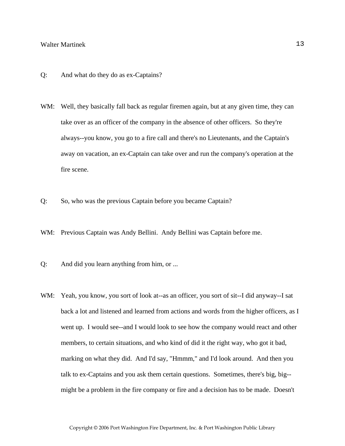- Q: And what do they do as ex-Captains?
- WM: Well, they basically fall back as regular firemen again, but at any given time, they can take over as an officer of the company in the absence of other officers. So they're always--you know, you go to a fire call and there's no Lieutenants, and the Captain's away on vacation, an ex-Captain can take over and run the company's operation at the fire scene.
- Q: So, who was the previous Captain before you became Captain?
- WM: Previous Captain was Andy Bellini. Andy Bellini was Captain before me.
- Q: And did you learn anything from him, or ...
- WM: Yeah, you know, you sort of look at--as an officer, you sort of sit--I did anyway--I sat back a lot and listened and learned from actions and words from the higher officers, as I went up. I would see--and I would look to see how the company would react and other members, to certain situations, and who kind of did it the right way, who got it bad, marking on what they did. And I'd say, "Hmmm," and I'd look around. And then you talk to ex-Captains and you ask them certain questions. Sometimes, there's big, big- might be a problem in the fire company or fire and a decision has to be made. Doesn't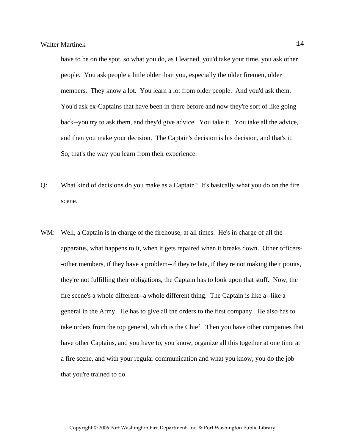have to be on the spot, so what you do, as I learned, you'd take your time, you ask other people. You ask people a little older than you, especially the older firemen, older members. They know a lot. You learn a lot from older people. And you'd ask them. You'd ask ex-Captains that have been in there before and now they're sort of like going back--you try to ask them, and they'd give advice. You take it. You take all the advice, and then you make your decision. The Captain's decision is his decision, and that's it. So, that's the way you learn from their experience.

- Q: What kind of decisions do you make as a Captain? It's basically what you do on the fire scene.
- WM: Well, a Captain is in charge of the firehouse, at all times. He's in charge of all the apparatus, what happens to it, when it gets repaired when it breaks down. Other officers- -other members, if they have a problem--if they're late, if they're not making their points, they're not fulfilling their obligations, the Captain has to look upon that stuff. Now, the fire scene's a whole different--a whole different thing. The Captain is like a--like a general in the Army. He has to give all the orders to the first company. He also has to take orders from the top general, which is the Chief. Then you have other companies that have other Captains, and you have to, you know, organize all this together at one time at a fire scene, and with your regular communication and what you know, you do the job that you're trained to do.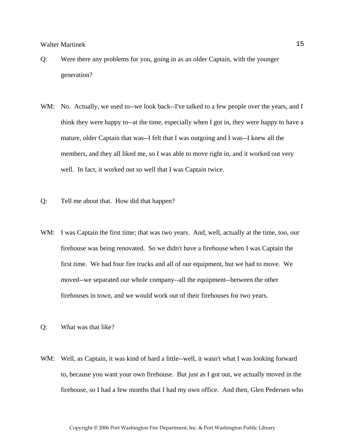- Q: Were there any problems for you, going in as an older Captain, with the younger generation?
- WM: No. Actually, we used to--we look back--I've talked to a few people over the years, and I think they were happy to--at the time, especially when I got in, they were happy to have a mature, older Captain that was--I felt that I was outgoing and I was--I knew all the members, and they all liked me, so I was able to move right in, and it worked out very well. In fact, it worked out so well that I was Captain twice.
- Q: Tell me about that. How did that happen?
- WM: I was Captain the first time; that was two years. And, well, actually at the time, too, our firehouse was being renovated. So we didn't have a firehouse when I was Captain the first time. We had four fire trucks and all of our equipment, but we had to move. We moved--we separated our whole company--all the equipment--between the other firehouses in town, and we would work out of their firehouses for two years.
- Q: What was that like?
- WM: Well, as Captain, it was kind of hard a little--well, it wasn't what I was looking forward to, because you want your own firehouse. But just as I got out, we actually moved in the firehouse, so I had a few months that I had my own office. And then, Glen Pedersen who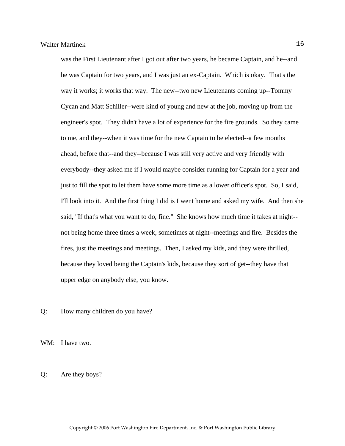was the First Lieutenant after I got out after two years, he became Captain, and he--and he was Captain for two years, and I was just an ex-Captain. Which is okay. That's the way it works; it works that way. The new--two new Lieutenants coming up--Tommy Cycan and Matt Schiller--were kind of young and new at the job, moving up from the engineer's spot. They didn't have a lot of experience for the fire grounds. So they came to me, and they--when it was time for the new Captain to be elected--a few months ahead, before that--and they--because I was still very active and very friendly with everybody--they asked me if I would maybe consider running for Captain for a year and just to fill the spot to let them have some more time as a lower officer's spot. So, I said, I'll look into it. And the first thing I did is I went home and asked my wife. And then she said, "If that's what you want to do, fine." She knows how much time it takes at night- not being home three times a week, sometimes at night--meetings and fire. Besides the fires, just the meetings and meetings. Then, I asked my kids, and they were thrilled, because they loved being the Captain's kids, because they sort of get--they have that upper edge on anybody else, you know.

Q: How many children do you have?

WM: I have two.

Q: Are they boys?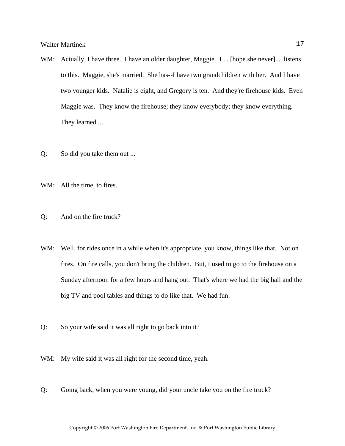- WM: Actually, I have three. I have an older daughter, Maggie. I ... [hope she never] ... listens to this. Maggie, she's married. She has--I have two grandchildren with her. And I have two younger kids. Natalie is eight, and Gregory is ten. And they're firehouse kids. Even Maggie was. They know the firehouse; they know everybody; they know everything. They learned ...
- Q: So did you take them out ...
- WM: All the time, to fires.
- Q: And on the fire truck?
- WM: Well, for rides once in a while when it's appropriate, you know, things like that. Not on fires. On fire calls, you don't bring the children. But, I used to go to the firehouse on a Sunday afternoon for a few hours and hang out. That's where we had the big hall and the big TV and pool tables and things to do like that. We had fun.
- Q: So your wife said it was all right to go back into it?
- WM: My wife said it was all right for the second time, yeah.
- Q: Going back, when you were young, did your uncle take you on the fire truck?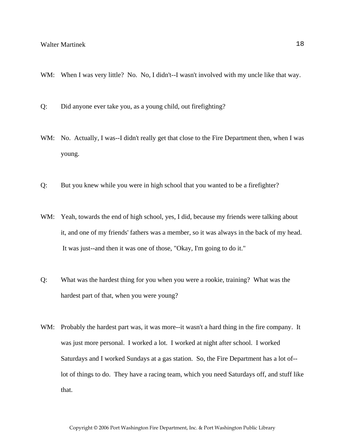- WM: When I was very little? No. No, I didn't--I wasn't involved with my uncle like that way.
- Q: Did anyone ever take you, as a young child, out firefighting?
- WM: No. Actually, I was--I didn't really get that close to the Fire Department then, when I was young.
- Q: But you knew while you were in high school that you wanted to be a firefighter?
- WM: Yeah, towards the end of high school, yes, I did, because my friends were talking about it, and one of my friends' fathers was a member, so it was always in the back of my head. It was just--and then it was one of those, "Okay, I'm going to do it."
- Q: What was the hardest thing for you when you were a rookie, training? What was the hardest part of that, when you were young?
- WM: Probably the hardest part was, it was more--it wasn't a hard thing in the fire company. It was just more personal. I worked a lot. I worked at night after school. I worked Saturdays and I worked Sundays at a gas station. So, the Fire Department has a lot of- lot of things to do. They have a racing team, which you need Saturdays off, and stuff like that.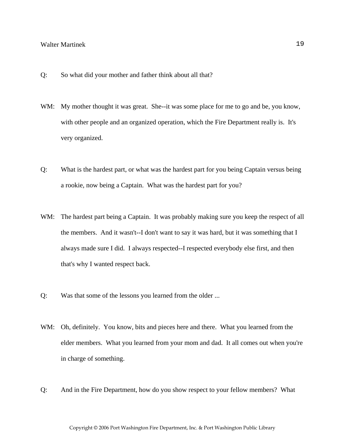- Q: So what did your mother and father think about all that?
- WM: My mother thought it was great. She--it was some place for me to go and be, you know, with other people and an organized operation, which the Fire Department really is. It's very organized.
- Q: What is the hardest part, or what was the hardest part for you being Captain versus being a rookie, now being a Captain. What was the hardest part for you?
- WM: The hardest part being a Captain. It was probably making sure you keep the respect of all the members. And it wasn't--I don't want to say it was hard, but it was something that I always made sure I did. I always respected--I respected everybody else first, and then that's why I wanted respect back.
- Q: Was that some of the lessons you learned from the older ...
- WM: Oh, definitely. You know, bits and pieces here and there. What you learned from the elder members. What you learned from your mom and dad. It all comes out when you're in charge of something.
- Q: And in the Fire Department, how do you show respect to your fellow members? What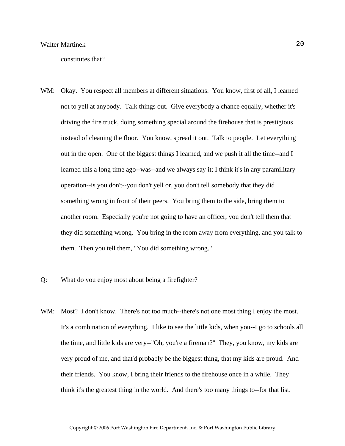constitutes that?

- WM: Okay. You respect all members at different situations. You know, first of all, I learned not to yell at anybody. Talk things out. Give everybody a chance equally, whether it's driving the fire truck, doing something special around the firehouse that is prestigious instead of cleaning the floor. You know, spread it out. Talk to people. Let everything out in the open. One of the biggest things I learned, and we push it all the time--and I learned this a long time ago--was--and we always say it; I think it's in any paramilitary operation--is you don't--you don't yell or, you don't tell somebody that they did something wrong in front of their peers. You bring them to the side, bring them to another room. Especially you're not going to have an officer, you don't tell them that they did something wrong. You bring in the room away from everything, and you talk to them. Then you tell them, "You did something wrong."
- Q: What do you enjoy most about being a firefighter?
- WM: Most? I don't know. There's not too much--there's not one most thing I enjoy the most. It's a combination of everything. I like to see the little kids, when you--I go to schools all the time, and little kids are very--"Oh, you're a fireman?" They, you know, my kids are very proud of me, and that'd probably be the biggest thing, that my kids are proud. And their friends. You know, I bring their friends to the firehouse once in a while. They think it's the greatest thing in the world. And there's too many things to--for that list.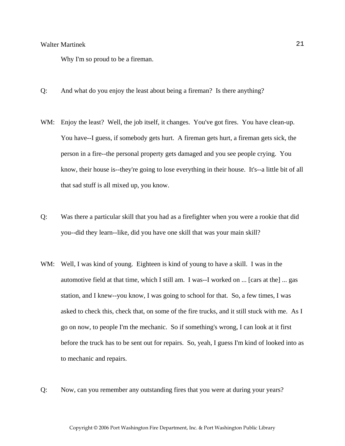Why I'm so proud to be a fireman.

- Q: And what do you enjoy the least about being a fireman? Is there anything?
- WM: Enjoy the least? Well, the job itself, it changes. You've got fires. You have clean-up. You have--I guess, if somebody gets hurt. A fireman gets hurt, a fireman gets sick, the person in a fire--the personal property gets damaged and you see people crying. You know, their house is--they're going to lose everything in their house. It's--a little bit of all that sad stuff is all mixed up, you know.
- Q: Was there a particular skill that you had as a firefighter when you were a rookie that did you--did they learn--like, did you have one skill that was your main skill?
- WM: Well, I was kind of young. Eighteen is kind of young to have a skill. I was in the automotive field at that time, which I still am. I was--I worked on ... [cars at the] ... gas station, and I knew--you know, I was going to school for that. So, a few times, I was asked to check this, check that, on some of the fire trucks, and it still stuck with me. As I go on now, to people I'm the mechanic. So if something's wrong, I can look at it first before the truck has to be sent out for repairs. So, yeah, I guess I'm kind of looked into as to mechanic and repairs.
- Q: Now, can you remember any outstanding fires that you were at during your years?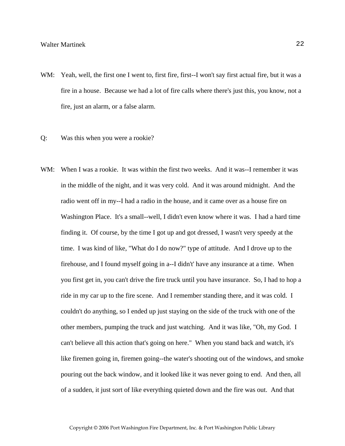- WM: Yeah, well, the first one I went to, first fire, first--I won't say first actual fire, but it was a fire in a house. Because we had a lot of fire calls where there's just this, you know, not a fire, just an alarm, or a false alarm.
- Q: Was this when you were a rookie?
- WM: When I was a rookie. It was within the first two weeks. And it was--I remember it was in the middle of the night, and it was very cold. And it was around midnight. And the radio went off in my--I had a radio in the house, and it came over as a house fire on Washington Place. It's a small--well, I didn't even know where it was. I had a hard time finding it. Of course, by the time I got up and got dressed, I wasn't very speedy at the time. I was kind of like, "What do I do now?" type of attitude. And I drove up to the firehouse, and I found myself going in a--I didn't' have any insurance at a time. When you first get in, you can't drive the fire truck until you have insurance. So, I had to hop a ride in my car up to the fire scene. And I remember standing there, and it was cold. I couldn't do anything, so I ended up just staying on the side of the truck with one of the other members, pumping the truck and just watching. And it was like, "Oh, my God. I can't believe all this action that's going on here." When you stand back and watch, it's like firemen going in, firemen going--the water's shooting out of the windows, and smoke pouring out the back window, and it looked like it was never going to end. And then, all of a sudden, it just sort of like everything quieted down and the fire was out. And that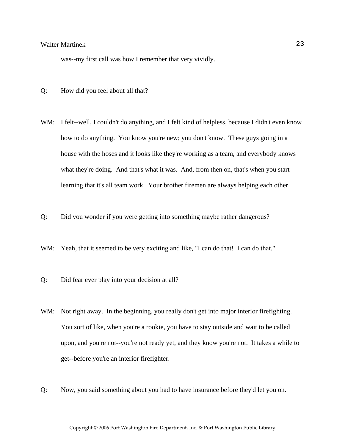was--my first call was how I remember that very vividly.

- Q: How did you feel about all that?
- WM: I felt--well, I couldn't do anything, and I felt kind of helpless, because I didn't even know how to do anything. You know you're new; you don't know. These guys going in a house with the hoses and it looks like they're working as a team, and everybody knows what they're doing. And that's what it was. And, from then on, that's when you start learning that it's all team work. Your brother firemen are always helping each other.
- Q: Did you wonder if you were getting into something maybe rather dangerous?
- WM: Yeah, that it seemed to be very exciting and like, "I can do that! I can do that."
- Q: Did fear ever play into your decision at all?
- WM: Not right away. In the beginning, you really don't get into major interior firefighting. You sort of like, when you're a rookie, you have to stay outside and wait to be called upon, and you're not--you're not ready yet, and they know you're not. It takes a while to get--before you're an interior firefighter.
- Q: Now, you said something about you had to have insurance before they'd let you on.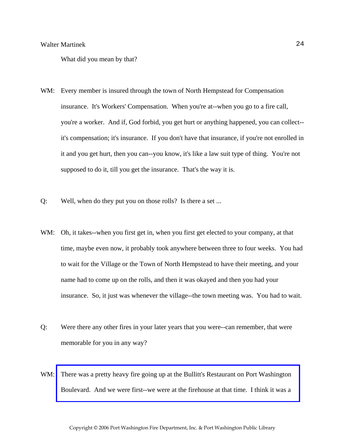What did you mean by that?

- WM: Every member is insured through the town of North Hempstead for Compensation insurance. It's Workers' Compensation. When you're at--when you go to a fire call, you're a worker. And if, God forbid, you get hurt or anything happened, you can collect- it's compensation; it's insurance. If you don't have that insurance, if you're not enrolled in it and you get hurt, then you can--you know, it's like a law suit type of thing. You're not supposed to do it, till you get the insurance. That's the way it is.
- Q: Well, when do they put you on those rolls? Is there a set ...
- WM: Oh, it takes--when you first get in, when you first get elected to your company, at that time, maybe even now, it probably took anywhere between three to four weeks. You had to wait for the Village or the Town of North Hempstead to have their meeting, and your name had to come up on the rolls, and then it was okayed and then you had your insurance. So, it just was whenever the village--the town meeting was. You had to wait.
- Q: Were there any other fires in your later years that you were--can remember, that were memorable for you in any way?
- WM: There was a pretty heavy fire going up at the Bullitt's Restaurant on Port Washington Boulevard. And we were first--we were at the firehouse at that time. I think it was a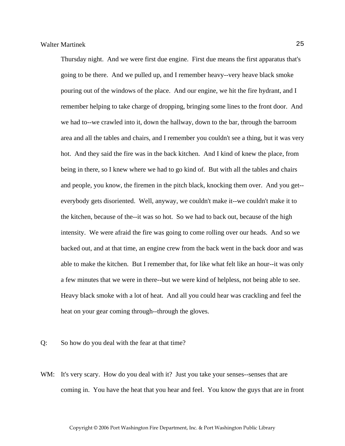Thursday night. And we were first due engine. First due means the first apparatus that's going to be there. And we pulled up, and I remember heavy--very heave black smoke pouring out of the windows of the place. And our engine, we hit the fire hydrant, and I remember helping to take charge of dropping, bringing some lines to the front door. And we had to--we crawled into it, down the hallway, down to the bar, through the barroom area and all the tables and chairs, and I remember you couldn't see a thing, but it was very hot. And they said the fire was in the back kitchen. And I kind of knew the place, from being in there, so I knew where we had to go kind of. But with all the tables and chairs and people, you know, the firemen in the pitch black, knocking them over. And you get- everybody gets disoriented. Well, anyway, we couldn't make it--we couldn't make it to the kitchen, because of the--it was so hot. So we had to back out, because of the high intensity. We were afraid the fire was going to come rolling over our heads. And so we backed out, and at that time, an engine crew from the back went in the back door and was able to make the kitchen. But I remember that, for like what felt like an hour--it was only a few minutes that we were in there--but we were kind of helpless, not being able to see. Heavy black smoke with a lot of heat. And all you could hear was crackling and feel the heat on your gear coming through--through the gloves.

- Q: So how do you deal with the fear at that time?
- WM: It's very scary. How do you deal with it? Just you take your senses-senses that are coming in. You have the heat that you hear and feel. You know the guys that are in front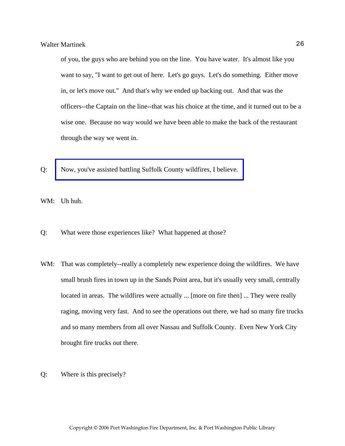of you, the guys who are behind you on the line. You have water. It's almost like you want to say, "I want to get out of here. Let's go guys. Let's do something. Either move in, or let's move out." And that's why we ended up backing out. And that was the officers--the Captain on the line--that was his choice at the time, and it turned out to be a wise one. Because no way would we have been able to make the back of the restaurant through the way we went in.

Q: [Now, you've assisted battling Suffolk County wildfires, I believe.](http://www.pwfdhistory.com/trans/martinekw_trans/pwfd_news049_web.jpg) 

WM: Uh huh.

- Q: What were those experiences like? What happened at those?
- WM: That was completely--really a completely new experience doing the wildfires. We have small brush fires in town up in the Sands Point area, but it's usually very small, centrally located in areas. The wildfires were actually ... [more on fire then] ... They were really raging, moving very fast. And to see the operations out there, we had so many fire trucks and so many members from all over Nassau and Suffolk County. Even New York City brought fire trucks out there.
- Q: Where is this precisely?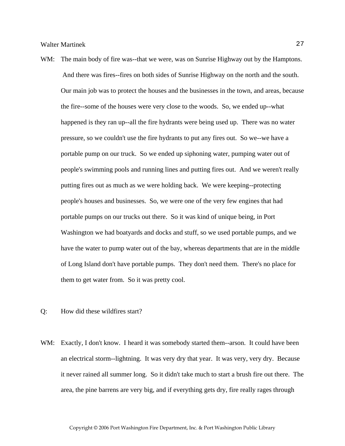- WM: The main body of fire was--that we were, was on Sunrise Highway out by the Hamptons. And there was fires--fires on both sides of Sunrise Highway on the north and the south. Our main job was to protect the houses and the businesses in the town, and areas, because the fire--some of the houses were very close to the woods. So, we ended up--what happened is they ran up--all the fire hydrants were being used up. There was no water pressure, so we couldn't use the fire hydrants to put any fires out. So we--we have a portable pump on our truck. So we ended up siphoning water, pumping water out of people's swimming pools and running lines and putting fires out. And we weren't really putting fires out as much as we were holding back. We were keeping--protecting people's houses and businesses. So, we were one of the very few engines that had portable pumps on our trucks out there. So it was kind of unique being, in Port Washington we had boatyards and docks and stuff, so we used portable pumps, and we have the water to pump water out of the bay, whereas departments that are in the middle of Long Island don't have portable pumps. They don't need them. There's no place for them to get water from. So it was pretty cool.
- Q: How did these wildfires start?
- WM: Exactly, I don't know. I heard it was somebody started them--arson. It could have been an electrical storm--lightning. It was very dry that year. It was very, very dry. Because it never rained all summer long. So it didn't take much to start a brush fire out there. The area, the pine barrens are very big, and if everything gets dry, fire really rages through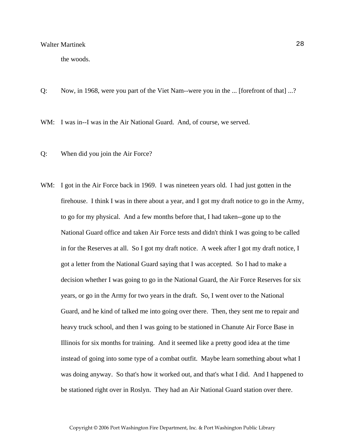the woods.

Q: Now, in 1968, were you part of the Viet Nam--were you in the ... [forefront of that] ...?

WM: I was in--I was in the Air National Guard. And, of course, we served.

- Q: When did you join the Air Force?
- WM: I got in the Air Force back in 1969. I was nineteen years old. I had just gotten in the firehouse. I think I was in there about a year, and I got my draft notice to go in the Army, to go for my physical. And a few months before that, I had taken--gone up to the National Guard office and taken Air Force tests and didn't think I was going to be called in for the Reserves at all. So I got my draft notice. A week after I got my draft notice, I got a letter from the National Guard saying that I was accepted. So I had to make a decision whether I was going to go in the National Guard, the Air Force Reserves for six years, or go in the Army for two years in the draft. So, I went over to the National Guard, and he kind of talked me into going over there. Then, they sent me to repair and heavy truck school, and then I was going to be stationed in Chanute Air Force Base in Illinois for six months for training. And it seemed like a pretty good idea at the time instead of going into some type of a combat outfit. Maybe learn something about what I was doing anyway. So that's how it worked out, and that's what I did. And I happened to be stationed right over in Roslyn. They had an Air National Guard station over there.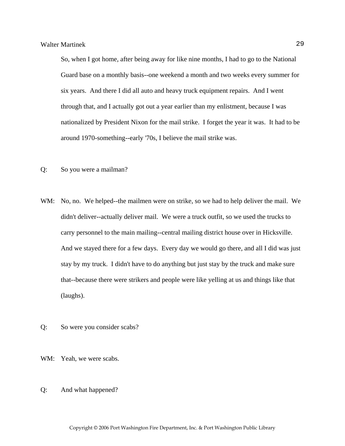So, when I got home, after being away for like nine months, I had to go to the National Guard base on a monthly basis--one weekend a month and two weeks every summer for six years. And there I did all auto and heavy truck equipment repairs. And I went through that, and I actually got out a year earlier than my enlistment, because I was nationalized by President Nixon for the mail strike. I forget the year it was. It had to be around 1970-something--early '70s, I believe the mail strike was.

- Q: So you were a mailman?
- WM: No, no. We helped--the mailmen were on strike, so we had to help deliver the mail. We didn't deliver--actually deliver mail. We were a truck outfit, so we used the trucks to carry personnel to the main mailing--central mailing district house over in Hicksville. And we stayed there for a few days. Every day we would go there, and all I did was just stay by my truck. I didn't have to do anything but just stay by the truck and make sure that--because there were strikers and people were like yelling at us and things like that (laughs).
- Q: So were you consider scabs?
- WM: Yeah, we were scabs.
- Q: And what happened?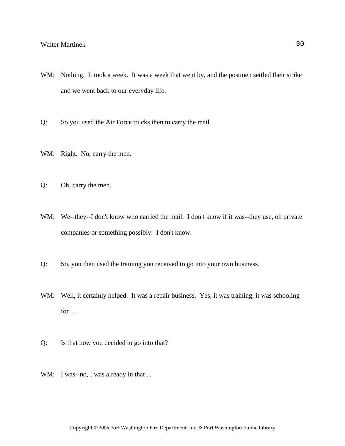- WM: Nothing. It took a week. It was a week that went by, and the postmen settled their strike and we went back to our everyday life.
- Q: So you used the Air Force trucks then to carry the mail.
- WM: Right. No, carry the men.
- Q: Oh, carry the men.
- WM: We--they--I don't know who carried the mail. I don't know if it was--they use, oh private companies or something possibly. I don't know.
- Q: So, you then used the training you received to go into your own business.
- WM: Well, it certainly helped. It was a repair business. Yes, it was training, it was schooling for ...
- Q: Is that how you decided to go into that?
- WM: I was--no, I was already in that ...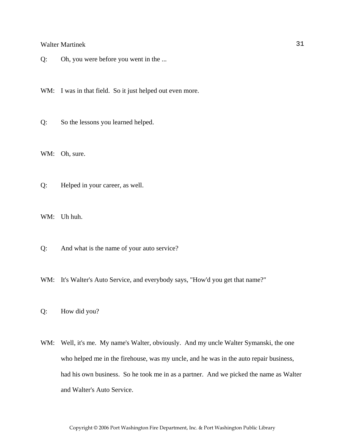Q: Oh, you were before you went in the ...

WM: I was in that field. So it just helped out even more.

Q: So the lessons you learned helped.

WM: Oh, sure.

Q: Helped in your career, as well.

WM: Uh huh.

Q: And what is the name of your auto service?

WM: It's Walter's Auto Service, and everybody says, "How'd you get that name?"

Q: How did you?

WM: Well, it's me. My name's Walter, obviously. And my uncle Walter Symanski, the one who helped me in the firehouse, was my uncle, and he was in the auto repair business, had his own business. So he took me in as a partner. And we picked the name as Walter and Walter's Auto Service.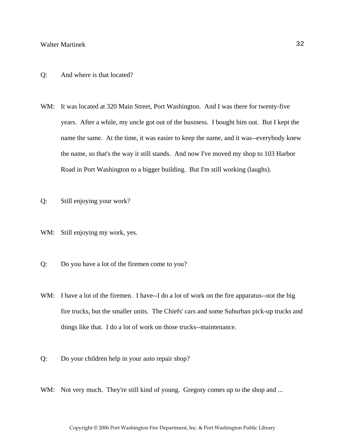- Q: And where is that located?
- WM: It was located at 320 Main Street, Port Washington. And I was there for twenty-five years. After a while, my uncle got out of the business. I bought him out. But I kept the name the same. At the time, it was easier to keep the name, and it was--everybody knew the name, so that's the way it still stands. And now I've moved my shop to 103 Harbor Road in Port Washington to a bigger building. But I'm still working (laughs).
- Q: Still enjoying your work?
- WM: Still enjoying my work, yes.
- Q: Do you have a lot of the firemen come to you?
- WM: I have a lot of the firemen. I have--I do a lot of work on the fire apparatus--not the big fire trucks, but the smaller units. The Chiefs' cars and some Suburban pick-up trucks and things like that. I do a lot of work on those trucks--maintenance.
- Q: Do your children help in your auto repair shop?
- WM: Not very much. They're still kind of young. Gregory comes up to the shop and ...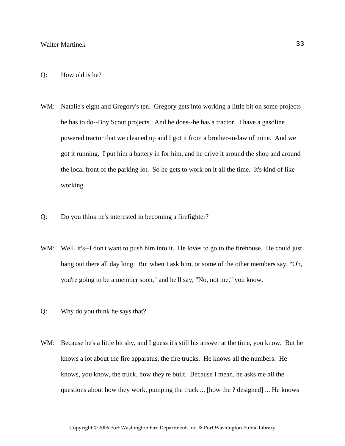- Q: How old is he?
- WM: Natalie's eight and Gregory's ten. Gregory gets into working a little bit on some projects he has to do--Boy Scout projects. And he does--he has a tractor. I have a gasoline powered tractor that we cleaned up and I got it from a brother-in-law of mine. And we got it running. I put him a battery in for him, and he drive it around the shop and around the local front of the parking lot. So he gets to work on it all the time. It's kind of like working.
- Q: Do you think he's interested in becoming a firefighter?
- WM: Well, it's--I don't want to push him into it. He loves to go to the firehouse. He could just hang out there all day long. But when I ask him, or some of the other members say, "Oh, you're going to be a member soon," and he'll say, "No, not me," you know.
- Q: Why do you think he says that?
- WM: Because he's a little bit shy, and I guess it's still his answer at the time, you know. But he knows a lot about the fire apparatus, the fire trucks. He knows all the numbers. He knows, you know, the truck, how they're built. Because I mean, he asks me all the questions about how they work, pumping the truck ... [how the ? designed] ... He knows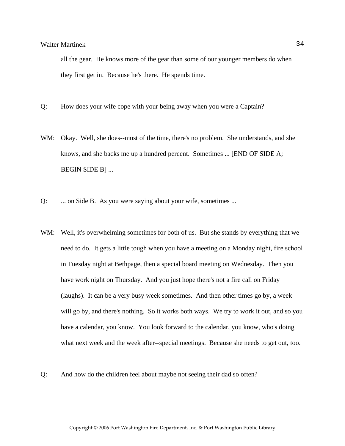all the gear. He knows more of the gear than some of our younger members do when they first get in. Because he's there. He spends time.

- Q: How does your wife cope with your being away when you were a Captain?
- WM: Okay. Well, she does--most of the time, there's no problem. She understands, and she knows, and she backs me up a hundred percent. Sometimes ... [END OF SIDE A; BEGIN SIDE B] ...
- Q: ... on Side B. As you were saying about your wife, sometimes ...
- WM: Well, it's overwhelming sometimes for both of us. But she stands by everything that we need to do. It gets a little tough when you have a meeting on a Monday night, fire school in Tuesday night at Bethpage, then a special board meeting on Wednesday. Then you have work night on Thursday. And you just hope there's not a fire call on Friday (laughs). It can be a very busy week sometimes. And then other times go by, a week will go by, and there's nothing. So it works both ways. We try to work it out, and so you have a calendar, you know. You look forward to the calendar, you know, who's doing what next week and the week after--special meetings. Because she needs to get out, too.
- Q: And how do the children feel about maybe not seeing their dad so often?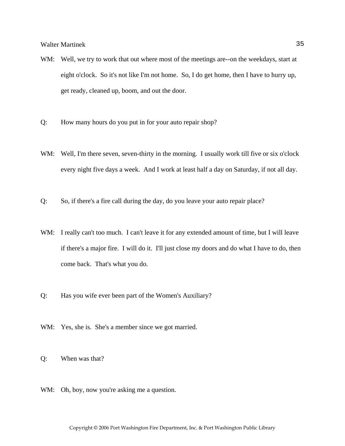- WM: Well, we try to work that out where most of the meetings are--on the weekdays, start at eight o'clock. So it's not like I'm not home. So, I do get home, then I have to hurry up, get ready, cleaned up, boom, and out the door.
- Q: How many hours do you put in for your auto repair shop?
- WM: Well, I'm there seven, seven-thirty in the morning. I usually work till five or six o'clock every night five days a week. And I work at least half a day on Saturday, if not all day.
- Q: So, if there's a fire call during the day, do you leave your auto repair place?
- WM: I really can't too much. I can't leave it for any extended amount of time, but I will leave if there's a major fire. I will do it. I'll just close my doors and do what I have to do, then come back. That's what you do.
- Q: Has you wife ever been part of the Women's Auxiliary?
- WM: Yes, she is. She's a member since we got married.
- Q: When was that?
- WM: Oh, boy, now you're asking me a question.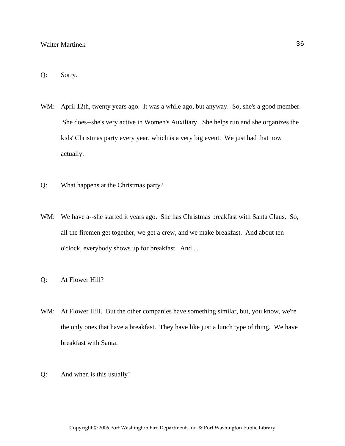# Q: Sorry.

- WM: April 12th, twenty years ago. It was a while ago, but anyway. So, she's a good member. She does--she's very active in Women's Auxiliary. She helps run and she organizes the kids' Christmas party every year, which is a very big event. We just had that now actually.
- Q: What happens at the Christmas party?
- WM: We have a--she started it years ago. She has Christmas breakfast with Santa Claus. So, all the firemen get together, we get a crew, and we make breakfast. And about ten o'clock, everybody shows up for breakfast. And ...
- Q: At Flower Hill?
- WM: At Flower Hill. But the other companies have something similar, but, you know, we're the only ones that have a breakfast. They have like just a lunch type of thing. We have breakfast with Santa.
- Q: And when is this usually?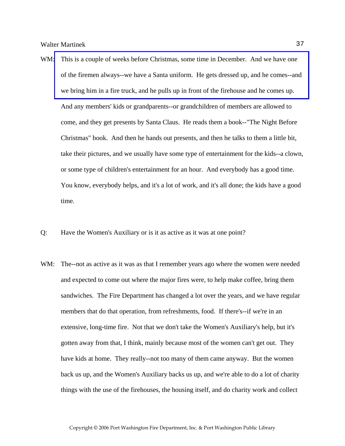- WM: This is a couple of weeks before Christmas, some time in December. And we have one of the firemen always--we have a Santa uniform. He gets dressed up, and he comes--and we bring him in a fire truck, and he pulls up in front of the firehouse and he comes up. And any members' kids or grandparents--or grandchildren of members are allowed to come, and they get presents by Santa Claus. He reads them a book--"The Night Before Christmas" book. And then he hands out presents, and then he talks to them a little bit, take their pictures, and we usually have some type of entertainment for the kids--a clown, or some type of children's entertainment for an hour. And everybody has a good time. You know, everybody helps, and it's a lot of work, and it's all done; the kids have a good time.
- Q: Have the Women's Auxiliary or is it as active as it was at one point?
- WM: The--not as active as it was as that I remember years ago where the women were needed and expected to come out where the major fires were, to help make coffee, bring them sandwiches. The Fire Department has changed a lot over the years, and we have regular members that do that operation, from refreshments, food. If there's--if we're in an extensive, long-time fire. Not that we don't take the Women's Auxiliary's help, but it's gotten away from that, I think, mainly because most of the women can't get out. They have kids at home. They really--not too many of them came anyway. But the women back us up, and the Women's Auxiliary backs us up, and we're able to do a lot of charity things with the use of the firehouses, the housing itself, and do charity work and collect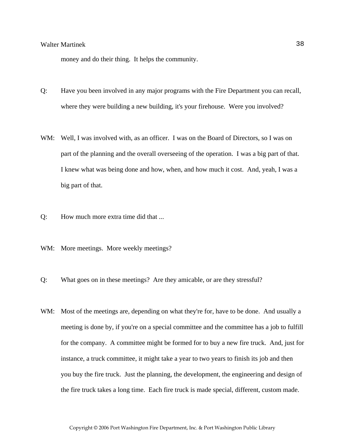money and do their thing. It helps the community.

- Q: Have you been involved in any major programs with the Fire Department you can recall, where they were building a new building, it's your firehouse. Were you involved?
- WM: Well, I was involved with, as an officer. I was on the Board of Directors, so I was on part of the planning and the overall overseeing of the operation. I was a big part of that. I knew what was being done and how, when, and how much it cost. And, yeah, I was a big part of that.
- Q: How much more extra time did that ...
- WM: More meetings. More weekly meetings?
- Q: What goes on in these meetings? Are they amicable, or are they stressful?
- WM: Most of the meetings are, depending on what they're for, have to be done. And usually a meeting is done by, if you're on a special committee and the committee has a job to fulfill for the company. A committee might be formed for to buy a new fire truck. And, just for instance, a truck committee, it might take a year to two years to finish its job and then you buy the fire truck. Just the planning, the development, the engineering and design of the fire truck takes a long time. Each fire truck is made special, different, custom made.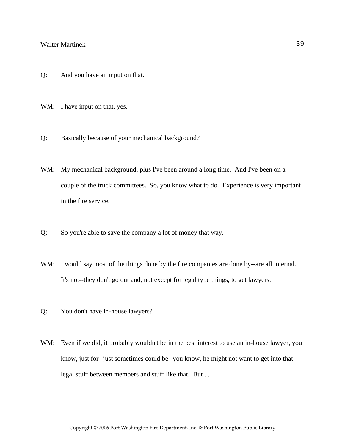- Q: And you have an input on that.
- WM: I have input on that, yes.
- Q: Basically because of your mechanical background?
- WM: My mechanical background, plus I've been around a long time. And I've been on a couple of the truck committees. So, you know what to do. Experience is very important in the fire service.
- Q: So you're able to save the company a lot of money that way.
- WM: I would say most of the things done by the fire companies are done by--are all internal. It's not--they don't go out and, not except for legal type things, to get lawyers.
- Q: You don't have in-house lawyers?
- WM: Even if we did, it probably wouldn't be in the best interest to use an in-house lawyer, you know, just for--just sometimes could be--you know, he might not want to get into that legal stuff between members and stuff like that. But ...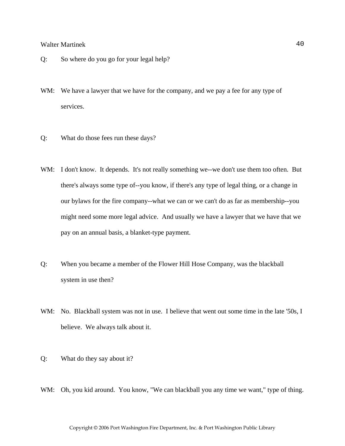- Q: So where do you go for your legal help?
- WM: We have a lawyer that we have for the company, and we pay a fee for any type of services.
- Q: What do those fees run these days?
- WM: I don't know. It depends. It's not really something we--we don't use them too often. But there's always some type of--you know, if there's any type of legal thing, or a change in our bylaws for the fire company--what we can or we can't do as far as membership--you might need some more legal advice. And usually we have a lawyer that we have that we pay on an annual basis, a blanket-type payment.
- Q: When you became a member of the Flower Hill Hose Company, was the blackball system in use then?
- WM: No. Blackball system was not in use. I believe that went out some time in the late '50s, I believe. We always talk about it.
- Q: What do they say about it?
- WM: Oh, you kid around. You know, "We can blackball you any time we want," type of thing.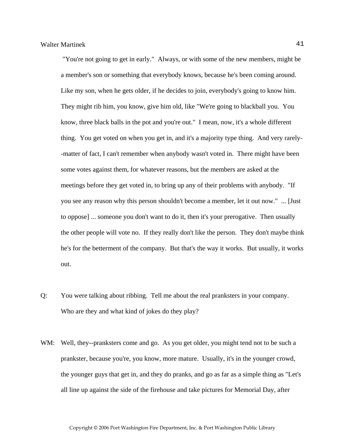"You're not going to get in early." Always, or with some of the new members, might be a member's son or something that everybody knows, because he's been coming around. Like my son, when he gets older, if he decides to join, everybody's going to know him. They might rib him, you know, give him old, like "We're going to blackball you. You know, three black balls in the pot and you're out." I mean, now, it's a whole different thing. You get voted on when you get in, and it's a majority type thing. And very rarely- -matter of fact, I can't remember when anybody wasn't voted in. There might have been some votes against them, for whatever reasons, but the members are asked at the meetings before they get voted in, to bring up any of their problems with anybody. "If you see any reason why this person shouldn't become a member, let it out now." ... [Just to oppose] ... someone you don't want to do it, then it's your prerogative. Then usually the other people will vote no. If they really don't like the person. They don't maybe think he's for the betterment of the company. But that's the way it works. But usually, it works out.

- Q: You were talking about ribbing. Tell me about the real pranksters in your company. Who are they and what kind of jokes do they play?
- WM: Well, they--pranksters come and go. As you get older, you might tend not to be such a prankster, because you're, you know, more mature. Usually, it's in the younger crowd, the younger guys that get in, and they do pranks, and go as far as a simple thing as "Let's all line up against the side of the firehouse and take pictures for Memorial Day, after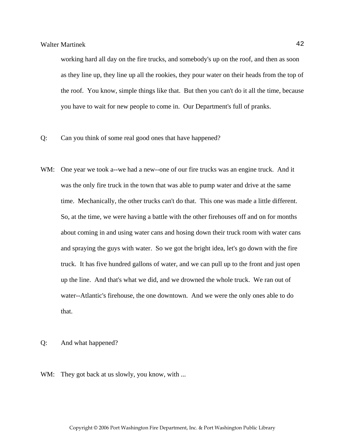working hard all day on the fire trucks, and somebody's up on the roof, and then as soon as they line up, they line up all the rookies, they pour water on their heads from the top of the roof. You know, simple things like that. But then you can't do it all the time, because you have to wait for new people to come in. Our Department's full of pranks.

- Q: Can you think of some real good ones that have happened?
- WM: One year we took a--we had a new--one of our fire trucks was an engine truck. And it was the only fire truck in the town that was able to pump water and drive at the same time. Mechanically, the other trucks can't do that. This one was made a little different. So, at the time, we were having a battle with the other firehouses off and on for months about coming in and using water cans and hosing down their truck room with water cans and spraying the guys with water. So we got the bright idea, let's go down with the fire truck. It has five hundred gallons of water, and we can pull up to the front and just open up the line. And that's what we did, and we drowned the whole truck. We ran out of water--Atlantic's firehouse, the one downtown. And we were the only ones able to do that.

Q: And what happened?

WM: They got back at us slowly, you know, with ...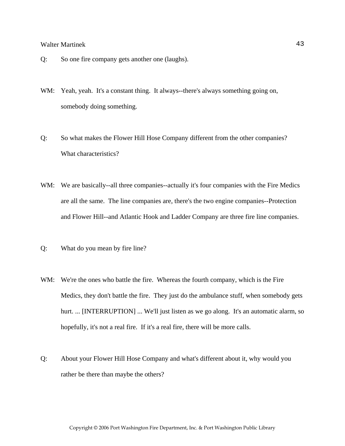- Q: So one fire company gets another one (laughs).
- WM: Yeah, yeah. It's a constant thing. It always--there's always something going on, somebody doing something.
- Q: So what makes the Flower Hill Hose Company different from the other companies? What characteristics?
- WM: We are basically--all three companies--actually it's four companies with the Fire Medics are all the same. The line companies are, there's the two engine companies--Protection and Flower Hill--and Atlantic Hook and Ladder Company are three fire line companies.
- Q: What do you mean by fire line?
- WM: We're the ones who battle the fire. Whereas the fourth company, which is the Fire Medics, they don't battle the fire. They just do the ambulance stuff, when somebody gets hurt. ... [INTERRUPTION] ... We'll just listen as we go along. It's an automatic alarm, so hopefully, it's not a real fire. If it's a real fire, there will be more calls.
- Q: About your Flower Hill Hose Company and what's different about it, why would you rather be there than maybe the others?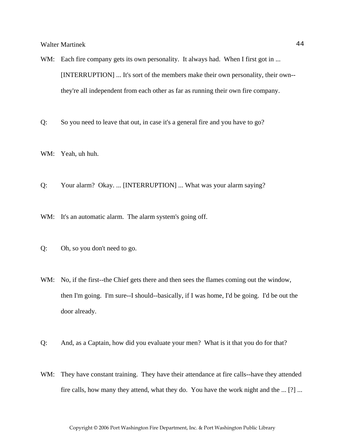- WM: Each fire company gets its own personality. It always had. When I first got in ... [INTERRUPTION] ... It's sort of the members make their own personality, their own- they're all independent from each other as far as running their own fire company.
- Q: So you need to leave that out, in case it's a general fire and you have to go?
- WM: Yeah, uh huh.
- Q: Your alarm? Okay. ... [INTERRUPTION] ... What was your alarm saying?
- WM: It's an automatic alarm. The alarm system's going off.
- Q: Oh, so you don't need to go.
- WM: No, if the first--the Chief gets there and then sees the flames coming out the window, then I'm going. I'm sure--I should--basically, if I was home, I'd be going. I'd be out the door already.
- Q: And, as a Captain, how did you evaluate your men? What is it that you do for that?
- WM: They have constant training. They have their attendance at fire calls--have they attended fire calls, how many they attend, what they do. You have the work night and the ... [?] ...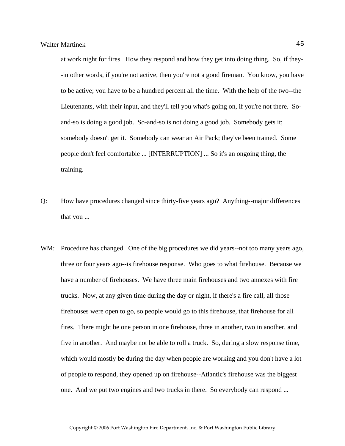at work night for fires. How they respond and how they get into doing thing. So, if they- -in other words, if you're not active, then you're not a good fireman. You know, you have to be active; you have to be a hundred percent all the time. With the help of the two--the Lieutenants, with their input, and they'll tell you what's going on, if you're not there. Soand-so is doing a good job. So-and-so is not doing a good job. Somebody gets it; somebody doesn't get it. Somebody can wear an Air Pack; they've been trained. Some people don't feel comfortable ... [INTERRUPTION] ... So it's an ongoing thing, the training.

- Q: How have procedures changed since thirty-five years ago? Anything--major differences that you ...
- WM: Procedure has changed. One of the big procedures we did years--not too many years ago, three or four years ago--is firehouse response. Who goes to what firehouse. Because we have a number of firehouses. We have three main firehouses and two annexes with fire trucks. Now, at any given time during the day or night, if there's a fire call, all those firehouses were open to go, so people would go to this firehouse, that firehouse for all fires. There might be one person in one firehouse, three in another, two in another, and five in another. And maybe not be able to roll a truck. So, during a slow response time, which would mostly be during the day when people are working and you don't have a lot of people to respond, they opened up on firehouse--Atlantic's firehouse was the biggest one. And we put two engines and two trucks in there. So everybody can respond ...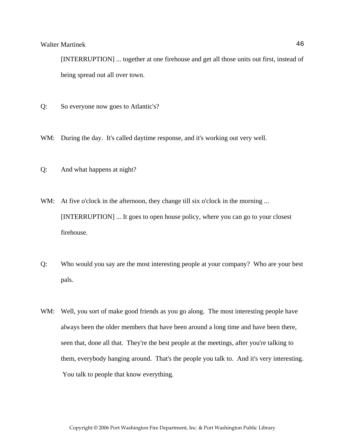[INTERRUPTION] ... together at one firehouse and get all those units out first, instead of being spread out all over town.

- Q: So everyone now goes to Atlantic's?
- WM: During the day. It's called daytime response, and it's working out very well.
- Q: And what happens at night?
- WM: At five o'clock in the afternoon, they change till six o'clock in the morning ... [INTERRUPTION] ... It goes to open house policy, where you can go to your closest firehouse.
- Q: Who would you say are the most interesting people at your company? Who are your best pals.
- WM: Well, you sort of make good friends as you go along. The most interesting people have always been the older members that have been around a long time and have been there, seen that, done all that. They're the best people at the meetings, after you're talking to them, everybody hanging around. That's the people you talk to. And it's very interesting. You talk to people that know everything.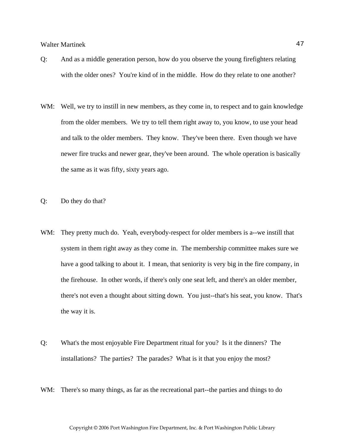- Q: And as a middle generation person, how do you observe the young firefighters relating with the older ones? You're kind of in the middle. How do they relate to one another?
- WM: Well, we try to instill in new members, as they come in, to respect and to gain knowledge from the older members. We try to tell them right away to, you know, to use your head and talk to the older members. They know. They've been there. Even though we have newer fire trucks and newer gear, they've been around. The whole operation is basically the same as it was fifty, sixty years ago.
- Q: Do they do that?
- WM: They pretty much do. Yeah, everybody-respect for older members is a--we instill that system in them right away as they come in. The membership committee makes sure we have a good talking to about it. I mean, that seniority is very big in the fire company, in the firehouse. In other words, if there's only one seat left, and there's an older member, there's not even a thought about sitting down. You just--that's his seat, you know. That's the way it is.
- Q: What's the most enjoyable Fire Department ritual for you? Is it the dinners? The installations? The parties? The parades? What is it that you enjoy the most?
- WM: There's so many things, as far as the recreational part--the parties and things to do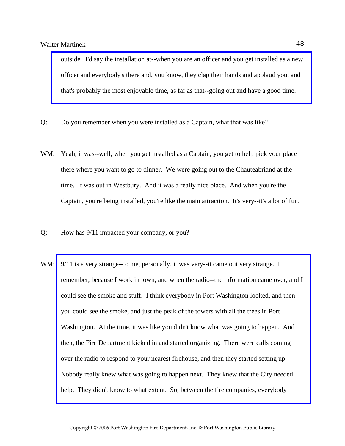[outside. I'd say the installation at--when you are an officer and you get installed as a new](http://www.pwfdhistory.com/trans/martinekw_trans/fhh_officers041.jpg)  officer and everybody's there and, you know, they clap their hands and applaud you, and that's probably the most enjoyable time, as far as that--going out and have a good time.

- Q: Do you remember when you were installed as a Captain, what that was like?
- WM: Yeah, it was--well, when you get installed as a Captain, you get to help pick your place there where you want to go to dinner. We were going out to the Chauteabriand at the time. It was out in Westbury. And it was a really nice place. And when you're the Captain, you're being installed, you're like the main attraction. It's very--it's a lot of fun.
- Q: How has 9/11 impacted your company, or you?
- WM:  $9/11$  is a very strange--to me, personally, it was very--it came out very strange. I [remember, because I work in town, and when the radio--the information came over, and I](http://www.pwfdhistory.com/trans/martinekw_trans/pwfd_911002_web.jpg)  could see the smoke and stuff. I think everybody in Port Washington looked, and then you could see the smoke, and just the peak of the towers with all the trees in Port Washington. At the time, it was like you didn't know what was going to happen. And then, the Fire Department kicked in and started organizing. There were calls coming over the radio to respond to your nearest firehouse, and then they started setting up. Nobody really knew what was going to happen next. They knew that the City needed help. They didn't know to what extent. So, between the fire companies, everybody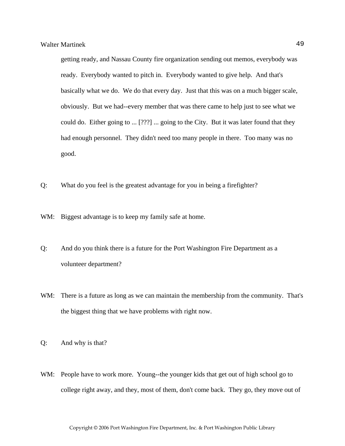getting ready, and Nassau County fire organization sending out memos, everybody was ready. Everybody wanted to pitch in. Everybody wanted to give help. And that's basically what we do. We do that every day. Just that this was on a much bigger scale, obviously. But we had--every member that was there came to help just to see what we could do. Either going to ... [???] ... going to the City. But it was later found that they had enough personnel. They didn't need too many people in there. Too many was no good.

- Q: What do you feel is the greatest advantage for you in being a firefighter?
- WM: Biggest advantage is to keep my family safe at home.
- Q: And do you think there is a future for the Port Washington Fire Department as a volunteer department?
- WM: There is a future as long as we can maintain the membership from the community. That's the biggest thing that we have problems with right now.
- Q: And why is that?
- WM: People have to work more. Young--the younger kids that get out of high school go to college right away, and they, most of them, don't come back. They go, they move out of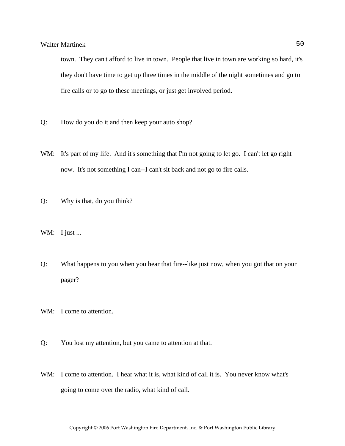town. They can't afford to live in town. People that live in town are working so hard, it's they don't have time to get up three times in the middle of the night sometimes and go to fire calls or to go to these meetings, or just get involved period.

- Q: How do you do it and then keep your auto shop?
- WM: It's part of my life. And it's something that I'm not going to let go. I can't let go right now. It's not something I can--I can't sit back and not go to fire calls.
- Q: Why is that, do you think?
- WM: I just ...
- Q: What happens to you when you hear that fire--like just now, when you got that on your pager?
- WM: I come to attention.
- Q: You lost my attention, but you came to attention at that.
- WM: I come to attention. I hear what it is, what kind of call it is. You never know what's going to come over the radio, what kind of call.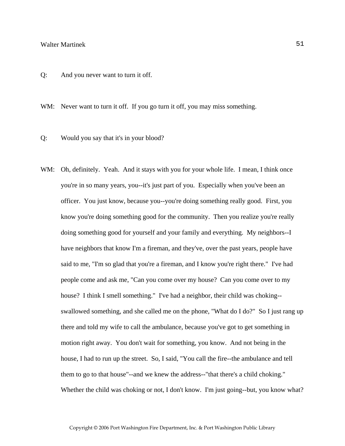Q: And you never want to turn it off.

WM: Never want to turn it off. If you go turn it off, you may miss something.

- Q: Would you say that it's in your blood?
- WM: Oh, definitely. Yeah. And it stays with you for your whole life. I mean, I think once you're in so many years, you--it's just part of you. Especially when you've been an officer. You just know, because you--you're doing something really good. First, you know you're doing something good for the community. Then you realize you're really doing something good for yourself and your family and everything. My neighbors--I have neighbors that know I'm a fireman, and they've, over the past years, people have said to me, "I'm so glad that you're a fireman, and I know you're right there." I've had people come and ask me, "Can you come over my house? Can you come over to my house? I think I smell something." I've had a neighbor, their child was choking- swallowed something, and she called me on the phone, "What do I do?" So I just rang up there and told my wife to call the ambulance, because you've got to get something in motion right away. You don't wait for something, you know. And not being in the house, I had to run up the street. So, I said, "You call the fire--the ambulance and tell them to go to that house"--and we knew the address--"that there's a child choking." Whether the child was choking or not, I don't know. I'm just going--but, you know what?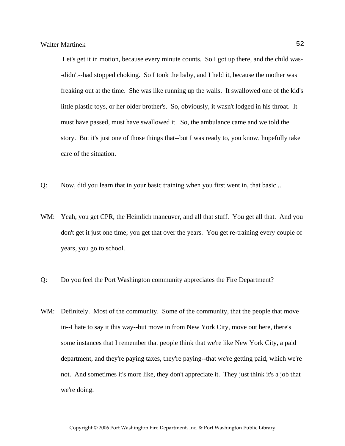Let's get it in motion, because every minute counts. So I got up there, and the child was- -didn't--had stopped choking. So I took the baby, and I held it, because the mother was freaking out at the time. She was like running up the walls. It swallowed one of the kid's little plastic toys, or her older brother's. So, obviously, it wasn't lodged in his throat. It must have passed, must have swallowed it. So, the ambulance came and we told the story. But it's just one of those things that--but I was ready to, you know, hopefully take care of the situation.

- Q: Now, did you learn that in your basic training when you first went in, that basic ...
- WM: Yeah, you get CPR, the Heimlich maneuver, and all that stuff. You get all that. And you don't get it just one time; you get that over the years. You get re-training every couple of years, you go to school.
- Q: Do you feel the Port Washington community appreciates the Fire Department?
- WM: Definitely. Most of the community. Some of the community, that the people that move in--I hate to say it this way--but move in from New York City, move out here, there's some instances that I remember that people think that we're like New York City, a paid department, and they're paying taxes, they're paying--that we're getting paid, which we're not. And sometimes it's more like, they don't appreciate it. They just think it's a job that we're doing.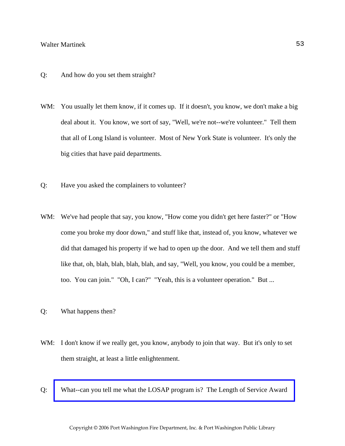- Q: And how do you set them straight?
- WM: You usually let them know, if it comes up. If it doesn't, you know, we don't make a big deal about it. You know, we sort of say, "Well, we're not--we're volunteer." Tell them that all of Long Island is volunteer. Most of New York State is volunteer. It's only the big cities that have paid departments.
- Q: Have you asked the complainers to volunteer?
- WM: We've had people that say, you know, "How come you didn't get here faster?" or "How come you broke my door down," and stuff like that, instead of, you know, whatever we did that damaged his property if we had to open up the door. And we tell them and stuff like that, oh, blah, blah, blah, blah, and say, "Well, you know, you could be a member, too. You can join." "Oh, I can?" "Yeah, this is a volunteer operation." But ...
- Q: What happens then?
- WM: I don't know if we really get, you know, anybody to join that way. But it's only to set them straight, at least a little enlightenment.
- Q: [What--can you tell me what the LOSAP program is? The Length of Service Award](http://www.pwfdhistory.com/trans/martinekw_trans/losap.pdf)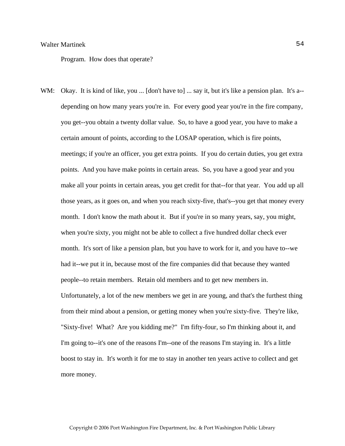Program. How does that operate?

WM: Okay. It is kind of like, you ... [don't have to] ... say it, but it's like a pension plan. It's a-depending on how many years you're in. For every good year you're in the fire company, you get--you obtain a twenty dollar value. So, to have a good year, you have to make a certain amount of points, according to the LOSAP operation, which is fire points, meetings; if you're an officer, you get extra points. If you do certain duties, you get extra points. And you have make points in certain areas. So, you have a good year and you make all your points in certain areas, you get credit for that--for that year. You add up all those years, as it goes on, and when you reach sixty-five, that's--you get that money every month. I don't know the math about it. But if you're in so many years, say, you might, when you're sixty, you might not be able to collect a five hundred dollar check ever month. It's sort of like a pension plan, but you have to work for it, and you have to--we had it--we put it in, because most of the fire companies did that because they wanted people--to retain members. Retain old members and to get new members in. Unfortunately, a lot of the new members we get in are young, and that's the furthest thing from their mind about a pension, or getting money when you're sixty-five. They're like, "Sixty-five! What? Are you kidding me?" I'm fifty-four, so I'm thinking about it, and I'm going to--it's one of the reasons I'm--one of the reasons I'm staying in. It's a little boost to stay in. It's worth it for me to stay in another ten years active to collect and get more money.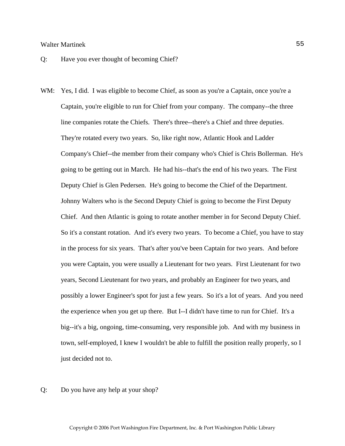- Q: Have you ever thought of becoming Chief?
- WM: Yes, I did. I was eligible to become Chief, as soon as you're a Captain, once you're a Captain, you're eligible to run for Chief from your company. The company--the three line companies rotate the Chiefs. There's three--there's a Chief and three deputies. They're rotated every two years. So, like right now, Atlantic Hook and Ladder Company's Chief--the member from their company who's Chief is Chris Bollerman. He's going to be getting out in March. He had his--that's the end of his two years. The First Deputy Chief is Glen Pedersen. He's going to become the Chief of the Department. Johnny Walters who is the Second Deputy Chief is going to become the First Deputy Chief. And then Atlantic is going to rotate another member in for Second Deputy Chief. So it's a constant rotation. And it's every two years. To become a Chief, you have to stay in the process for six years. That's after you've been Captain for two years. And before you were Captain, you were usually a Lieutenant for two years. First Lieutenant for two years, Second Lieutenant for two years, and probably an Engineer for two years, and possibly a lower Engineer's spot for just a few years. So it's a lot of years. And you need the experience when you get up there. But I--I didn't have time to run for Chief. It's a big--it's a big, ongoing, time-consuming, very responsible job. And with my business in town, self-employed, I knew I wouldn't be able to fulfill the position really properly, so I just decided not to.
- Q: Do you have any help at your shop?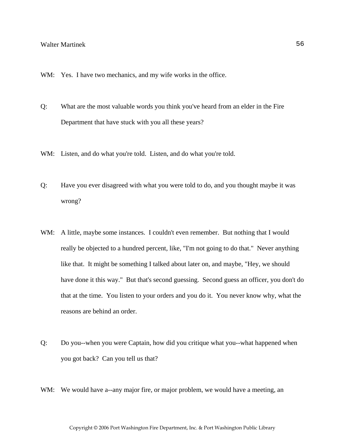- WM: Yes. I have two mechanics, and my wife works in the office.
- Q: What are the most valuable words you think you've heard from an elder in the Fire Department that have stuck with you all these years?
- WM: Listen, and do what you're told. Listen, and do what you're told.
- Q: Have you ever disagreed with what you were told to do, and you thought maybe it was wrong?
- WM: A little, maybe some instances. I couldn't even remember. But nothing that I would really be objected to a hundred percent, like, "I'm not going to do that." Never anything like that. It might be something I talked about later on, and maybe, "Hey, we should have done it this way." But that's second guessing. Second guess an officer, you don't do that at the time. You listen to your orders and you do it. You never know why, what the reasons are behind an order.
- Q: Do you--when you were Captain, how did you critique what you--what happened when you got back? Can you tell us that?
- WM: We would have a--any major fire, or major problem, we would have a meeting, an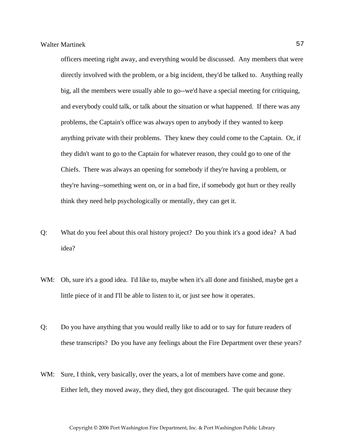officers meeting right away, and everything would be discussed. Any members that were directly involved with the problem, or a big incident, they'd be talked to. Anything really big, all the members were usually able to go--we'd have a special meeting for critiquing, and everybody could talk, or talk about the situation or what happened. If there was any problems, the Captain's office was always open to anybody if they wanted to keep anything private with their problems. They knew they could come to the Captain. Or, if they didn't want to go to the Captain for whatever reason, they could go to one of the Chiefs. There was always an opening for somebody if they're having a problem, or they're having--something went on, or in a bad fire, if somebody got hurt or they really think they need help psychologically or mentally, they can get it.

- Q: What do you feel about this oral history project? Do you think it's a good idea? A bad idea?
- WM: Oh, sure it's a good idea. I'd like to, maybe when it's all done and finished, maybe get a little piece of it and I'll be able to listen to it, or just see how it operates.
- Q: Do you have anything that you would really like to add or to say for future readers of these transcripts? Do you have any feelings about the Fire Department over these years?
- WM: Sure, I think, very basically, over the years, a lot of members have come and gone. Either left, they moved away, they died, they got discouraged. The quit because they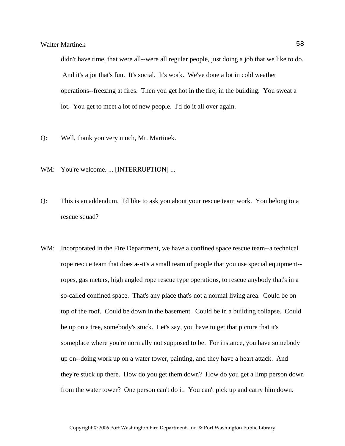didn't have time, that were all--were all regular people, just doing a job that we like to do. And it's a jot that's fun. It's social. It's work. We've done a lot in cold weather operations--freezing at fires. Then you get hot in the fire, in the building. You sweat a lot. You get to meet a lot of new people. I'd do it all over again.

- Q: Well, thank you very much, Mr. Martinek.
- WM: You're welcome. ... [INTERRUPTION] ...
- Q: This is an addendum. I'd like to ask you about your rescue team work. You belong to a rescue squad?
- WM: Incorporated in the Fire Department, we have a confined space rescue team--a technical rope rescue team that does a--it's a small team of people that you use special equipment- ropes, gas meters, high angled rope rescue type operations, to rescue anybody that's in a so-called confined space. That's any place that's not a normal living area. Could be on top of the roof. Could be down in the basement. Could be in a building collapse. Could be up on a tree, somebody's stuck. Let's say, you have to get that picture that it's someplace where you're normally not supposed to be. For instance, you have somebody up on--doing work up on a water tower, painting, and they have a heart attack. And they're stuck up there. How do you get them down? How do you get a limp person down from the water tower? One person can't do it. You can't pick up and carry him down.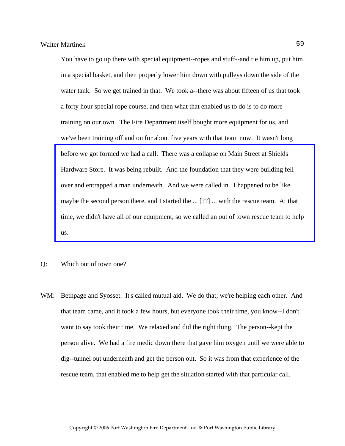You have to go up there with special equipment--ropes and stuff--and tie him up, put him in a special basket, and then properly lower him down with pulleys down the side of the water tank. So we get trained in that. We took a--there was about fifteen of us that took a forty hour special rope course, and then what that enabled us to do is to do more training on our own. The Fire Department itself bought more equipment for us, and we've been training off and on for about five years with that team now. It wasn't long before we got formed we had a call. There was a collapse on Main Street at Shields Hardware Store. It was being rebuilt. And the foundation that they were building fell over and entrapped a man underneath. And we were called in. I happened to be like maybe the second person there, and I started the ... [??] ... with the rescue team. At that [time, we didn't have all of our equipment, so we called an out of town rescue team to help](http://www.pwfdhistory.com/trans/martinekw_trans/dnews_960820_pz_web.jpg)  us.

- Q: Which out of town one?
- WM: Bethpage and Syosset. It's called mutual aid. We do that; we're helping each other. And that team came, and it took a few hours, but everyone took their time, you know--I don't want to say took their time. We relaxed and did the right thing. The person--kept the person alive. We had a fire medic down there that gave him oxygen until we were able to dig--tunnel out underneath and get the person out. So it was from that experience of the rescue team, that enabled me to help get the situation started with that particular call.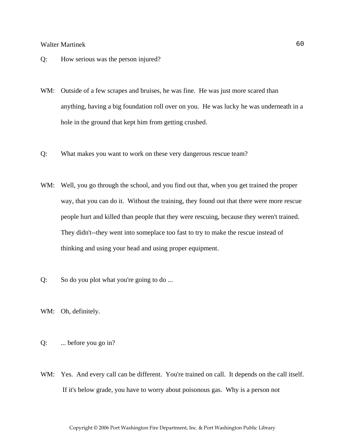- Q: How serious was the person injured?
- WM: Outside of a few scrapes and bruises, he was fine. He was just more scared than anything, having a big foundation roll over on you. He was lucky he was underneath in a hole in the ground that kept him from getting crushed.
- Q: What makes you want to work on these very dangerous rescue team?
- WM: Well, you go through the school, and you find out that, when you get trained the proper way, that you can do it. Without the training, they found out that there were more rescue people hurt and killed than people that they were rescuing, because they weren't trained. They didn't--they went into someplace too fast to try to make the rescue instead of thinking and using your head and using proper equipment.
- Q: So do you plot what you're going to do ...
- WM: Oh, definitely.
- Q: ... before you go in?
- WM: Yes. And every call can be different. You're trained on call. It depends on the call itself. If it's below grade, you have to worry about poisonous gas. Why is a person not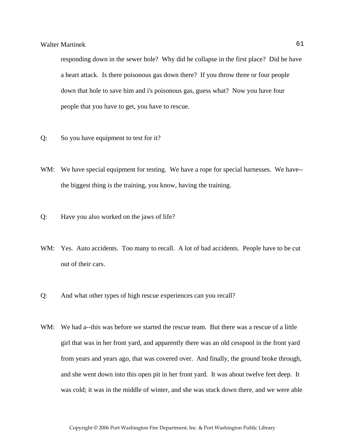responding down in the sewer hole? Why did he collapse in the first place? Did he have a heart attack. Is there poisonous gas down there? If you throw three or four people down that hole to save him and i's poisonous gas, guess what? Now you have four people that you have to get, you have to rescue.

- Q: So you have equipment to test for it?
- WM: We have special equipment for testing. We have a rope for special harnesses. We have-the biggest thing is the training, you know, having the training.
- Q: Have you also worked on the jaws of life?
- WM: Yes. Auto accidents. Too many to recall. A lot of bad accidents. People have to be cut out of their cars.
- Q: And what other types of high rescue experiences can you recall?
- WM: We had a--this was before we started the rescue team. But there was a rescue of a little girl that was in her front yard, and apparently there was an old cesspool in the front yard from years and years ago, that was covered over. And finally, the ground broke through, and she went down into this open pit in her front yard. It was about twelve feet deep. It was cold; it was in the middle of winter, and she was stuck down there, and we were able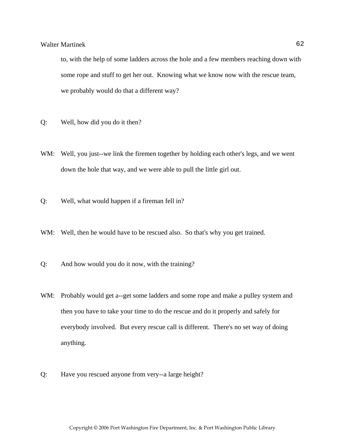to, with the help of some ladders across the hole and a few members reaching down with some rope and stuff to get her out. Knowing what we know now with the rescue team, we probably would do that a different way?

- Q: Well, how did you do it then?
- WM: Well, you just--we link the firemen together by holding each other's legs, and we went down the hole that way, and we were able to pull the little girl out.
- Q: Well, what would happen if a fireman fell in?
- WM: Well, then he would have to be rescued also. So that's why you get trained.
- Q: And how would you do it now, with the training?
- WM: Probably would get a--get some ladders and some rope and make a pulley system and then you have to take your time to do the rescue and do it properly and safely for everybody involved. But every rescue call is different. There's no set way of doing anything.
- Q: Have you rescued anyone from very--a large height?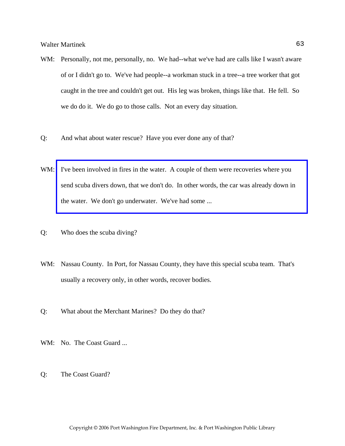- WM: Personally, not me, personally, no. We had--what we've had are calls like I wasn't aware of or I didn't go to. We've had people--a workman stuck in a tree--a tree worker that got caught in the tree and couldn't get out. His leg was broken, things like that. He fell. So we do do it. We do go to those calls. Not an every day situation.
- Q: And what about water rescue? Have you ever done any of that?
- WM: I've been involved in fires in the water. A couple of them were recoveries where you send scuba divers down, that we don't do. In other words, the car was already down in the water. We don't go underwater. We've had some ...
- Q: Who does the scuba diving?
- WM: Nassau County. In Port, for Nassau County, they have this special scuba team. That's usually a recovery only, in other words, recover bodies.
- Q: What about the Merchant Marines? Do they do that?
- WM: No. The Coast Guard ...
- Q: The Coast Guard?